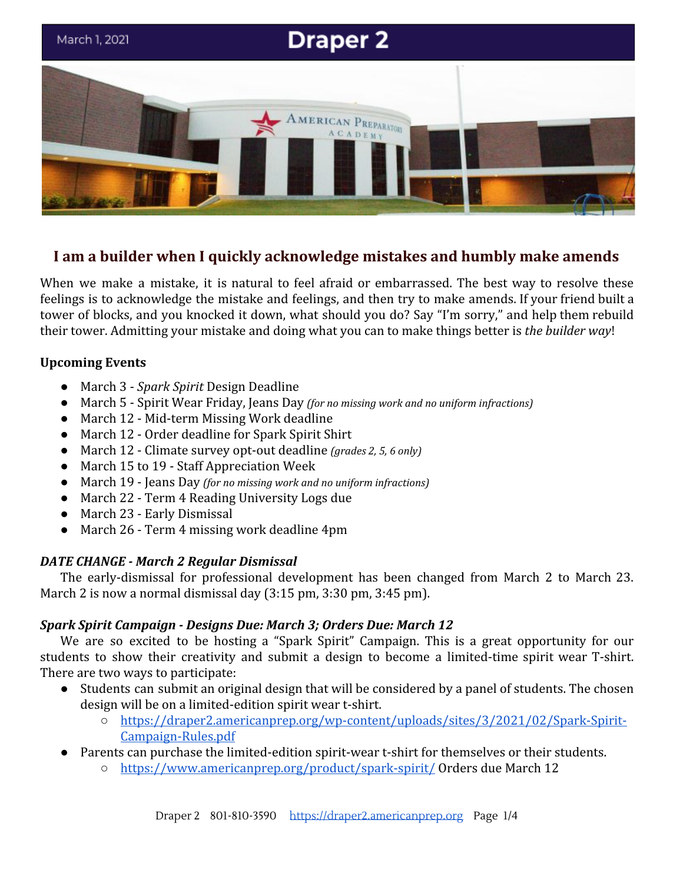

# **I am a builder when I quickly acknowledge mistakes and humbly make amends**

When we make a mistake, it is natural to feel afraid or embarrassed. The best way to resolve these feelings is to acknowledge the mistake and feelings, and then try to make amends. If your friend built a tower of blocks, and you knocked it down, what should you do? Say "I'm sorry," and help them rebuild their tower. Admitting your mistake and doing what you can to make things better is *the builder way*!

## **Upcoming Events**

- March 3 *Spark Spirit* Design Deadline
- March 5 Spirit Wear Friday, Jeans Day *(for no missing work and no uniform infractions)*
- March 12 Mid-term Missing Work deadline
- March 12 Order deadline for Spark Spirit Shirt
- March 12 Climate survey opt-out deadline *(grades 2, 5, 6 only)*
- March 15 to 19 Staff Appreciation Week
- March 19 Jeans Day *(for no missing work and no uniform infractions)*
- March 22 Term 4 Reading University Logs due
- March 23 Early Dismissal
- March 26 Term 4 missing work deadline 4pm

## *DATE CHANGE - March 2 Regular Dismissal*

The early-dismissal for professional development has been changed from March 2 to March 23. March 2 is now a normal dismissal day (3:15 pm, 3:30 pm, 3:45 pm).

## *Spark Spirit Campaign - Designs Due: March 3; Orders Due: March 12*

We are so excited to be hosting a "Spark Spirit" Campaign. This is a great opportunity for our students to show their creativity and submit a design to become a limited-time spirit wear T-shirt. There are two ways to participate:

- Students can submit an original design that will be considered by a panel of students. The chosen design will be on a limited-edition spirit wear t-shirt.
	- [https://draper2.americanprep.org/wp-content/uploads/sites/3/2021/02/Spark-Spirit-](https://draper2.americanprep.org/wp-content/uploads/sites/3/2021/02/Spark-Spirit-Campaign-Rules.pdf)[Campaign-Rules.pdf](https://draper2.americanprep.org/wp-content/uploads/sites/3/2021/02/Spark-Spirit-Campaign-Rules.pdf)
- Parents can purchase the limited-edition spirit-wear t-shirt for themselves or their students.
	- <https://www.americanprep.org/product/spark-spirit/> Orders due March 12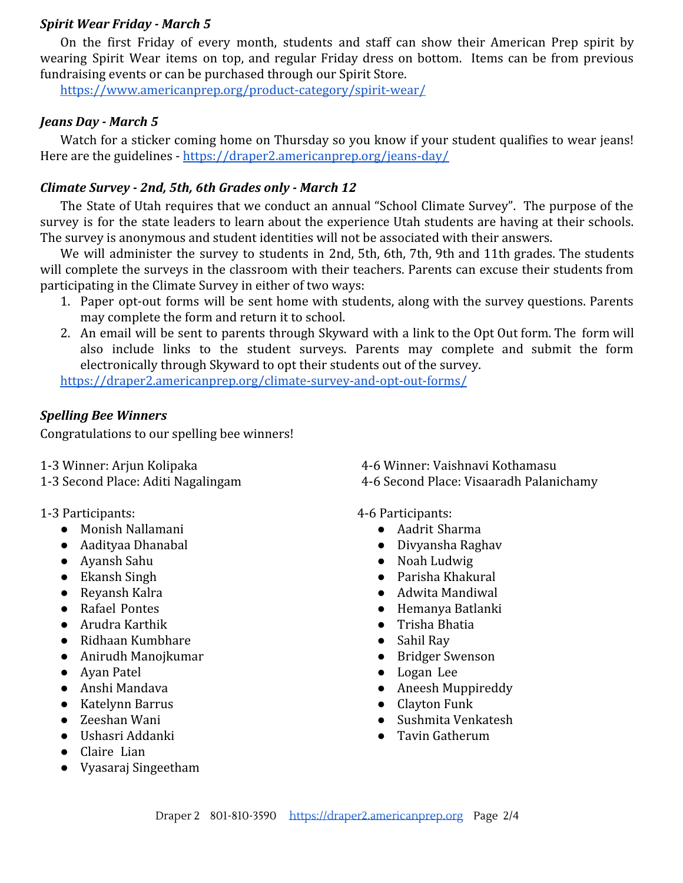#### *Spirit Wear Friday - March 5*

On the first Friday of every month, students and staff can show their American Prep spirit by wearing Spirit Wear items on top, and regular Friday dress on bottom. Items can be from previous fundraising events or can be purchased through our Spirit Store.

<https://www.americanprep.org/product-category/spirit-wear/>

### *Jeans Day - March 5*

Watch for a sticker coming home on Thursday so you know if your student qualifies to wear jeans! Here are the guidelines - <https://draper2.americanprep.org/jeans-day/>

## *Climate Survey - 2nd, 5th, 6th Grades only - March 12*

The State of Utah requires that we conduct an annual "School Climate Survey". The purpose of the survey is for the state leaders to learn about the experience Utah students are having at their schools. The survey is anonymous and student identities will not be associated with their answers.

We will administer the survey to students in 2nd, 5th, 6th, 7th, 9th and 11th grades. The students will complete the surveys in the classroom with their teachers. Parents can excuse their students from participating in the Climate Survey in either of two ways:

- 1. Paper opt-out forms will be sent home with students, along with the survey questions. Parents may complete the form and return it to school.
- 2. An email will be sent to parents through Skyward with a link to the Opt Out form. The form will also include links to the student surveys. Parents may complete and submit the form electronically through Skyward to opt their students out of the survey.

<https://draper2.americanprep.org/climate-survey-and-opt-out-forms/>

#### *Spelling Bee Winners*

Congratulations to our spelling bee winners!

- 
- 
- 1-3 Participants:
	- Monish Nallamani
	- Aadityaa Dhanabal
	- Ayansh Sahu
	- Ekansh Singh
	- Reyansh Kalra
	- Rafael Pontes
	- Arudra Karthik
	- Ridhaan Kumbhare
	- Anirudh Manojkumar
	- Ayan Patel
	- Anshi Mandava
	- Katelynn Barrus
	- Zeeshan Wani
	- Ushasri Addanki
	- Claire Lian
	- Vyasaraj Singeetham

1-3 Winner: Arjun Kolipaka 4-6 Winner: Vaishnavi Kothamasu

1-3 Second Place: Aditi Nagalingam 4-6 Second Place: Visaaradh Palanichamy

#### 4-6 Participants:

- Aadrit Sharma
- Divyansha Raghav
- Noah Ludwig
- Parisha Khakural
- Adwita Mandiwal
- Hemanya Batlanki
- Trisha Bhatia
- Sahil Ray
- Bridger Swenson
- Logan Lee
- Aneesh Muppireddy
- Clayton Funk
- Sushmita Venkatesh
- Tavin Gatherum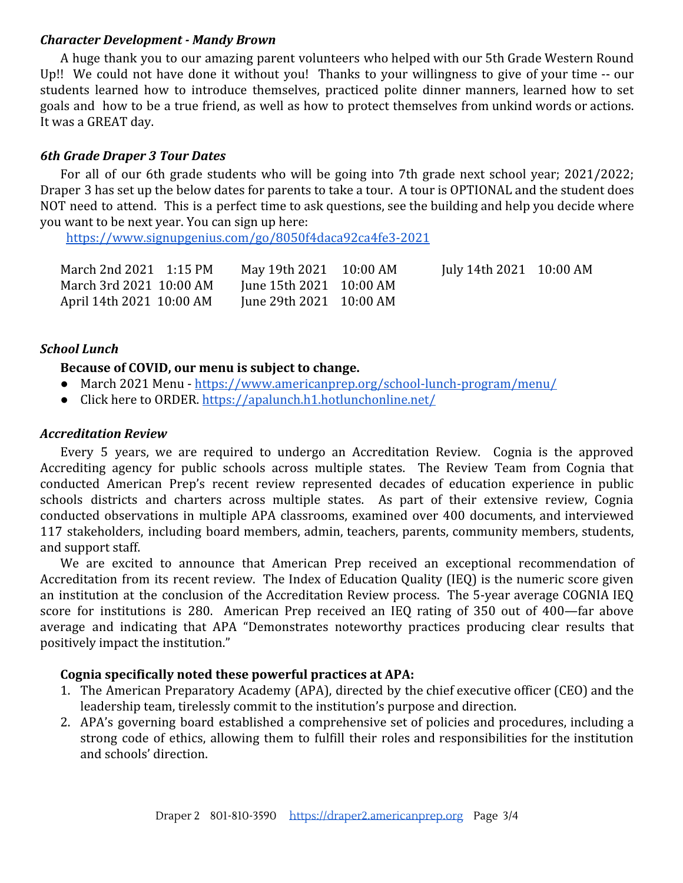#### *Character Development - Mandy Brown*

A huge thank you to our amazing parent volunteers who helped with our 5th Grade Western Round Up!! We could not have done it without you! Thanks to your willingness to give of your time -- our students learned how to introduce themselves, practiced polite dinner manners, learned how to set goals and how to be a true friend, as well as how to protect themselves from unkind words or actions. It was a GREAT day.

## *6th Grade Draper 3 Tour Dates*

For all of our 6th grade students who will be going into 7th grade next school year; 2021/2022; Draper 3 has set up the below dates for parents to take a tour. A tour is OPTIONAL and the student does NOT need to attend. This is a perfect time to ask questions, see the building and help you decide where you want to be next year. You can sign up here:

<https://www.signupgenius.com/go/8050f4daca92ca4fe3-2021>

| March 2nd 2021 1:15 PM   | May 19th 2021 10:00 AM  | July 14th 2021 10:00 AM |  |
|--------------------------|-------------------------|-------------------------|--|
| March 3rd 2021 10:00 AM  | June 15th 2021 10:00 AM |                         |  |
| April 14th 2021 10:00 AM | June 29th 2021 10:00 AM |                         |  |

## *School Lunch*

## **Because of COVID, our menu is subject to change.**

- March 2021 Menu <https://www.americanprep.org/school-lunch-program/menu/>
- Click here to ORDER. <https://apalunch.h1.hotlunchonline.net/>

## *Accreditation Review*

Every 5 years, we are required to undergo an Accreditation Review. Cognia is the approved Accrediting agency for public schools across multiple states. The Review Team from Cognia that conducted American Prep's recent review represented decades of education experience in public schools districts and charters across multiple states. As part of their extensive review, Cognia conducted observations in multiple APA classrooms, examined over 400 documents, and interviewed 117 stakeholders, including board members, admin, teachers, parents, community members, students, and support staff.

We are excited to announce that American Prep received an exceptional recommendation of Accreditation from its recent review. The Index of Education Quality (IEQ) is the numeric score given an institution at the conclusion of the Accreditation Review process. The 5-year average COGNIA IEQ score for institutions is 280. American Prep received an IEQ rating of 350 out of 400—far above average and indicating that APA "Demonstrates noteworthy practices producing clear results that positively impact the institution."

## **Cognia specifically noted these powerful practices at APA:**

- 1. The American Preparatory Academy (APA), directed by the chief executive officer (CEO) and the leadership team, tirelessly commit to the institution's purpose and direction.
- 2. APA's governing board established a comprehensive set of policies and procedures, including a strong code of ethics, allowing them to fulfill their roles and responsibilities for the institution and schools' direction.